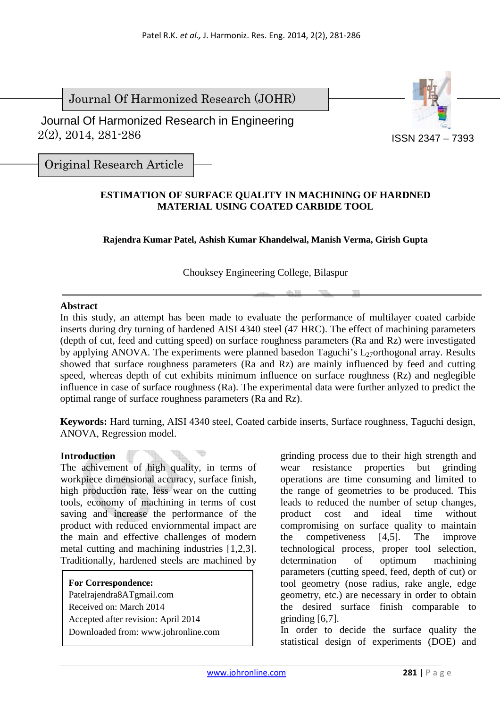Journal Of Harmonized Research (JOHR)

 2(2), 2014, 281-286 Journal Of Harmonized Research in Engineering



ISSN 2347 – 7393

Original Research Article

# **ESTIMATION OF SURFACE QUALITY IN MACHINING OF HARDNED MATERIAL USING COATED CARBIDE TOOL**

**Rajendra Kumar Patel, Ashish Kumar Khandelwal, Manish Verma, Girish Gupta** 

Chouksey Engineering College, Bilaspur

### **Abstract**

In this study, an attempt has been made to evaluate the performance of multilayer coated carbide inserts during dry turning of hardened AISI 4340 steel (47 HRC). The effect of machining parameters (depth of cut, feed and cutting speed) on surface roughness parameters (Ra and Rz) were investigated by applying ANOVA. The experiments were planned basedon Taguchi's  $L_2$  orthogonal array. Results showed that surface roughness parameters (Ra and Rz) are mainly influenced by feed and cutting speed, whereas depth of cut exhibits minimum influence on surface roughness (Rz) and neglegible influence in case of surface roughness (Ra). The experimental data were further anlyzed to predict the optimal range of surface roughness parameters (Ra and Rz).

**Keywords:** Hard turning, AISI 4340 steel, Coated carbide inserts, Surface roughness, Taguchi design, ANOVA, Regression model.

### **Introduction**

The achivement of high quality, in terms of workpiece dimensional accuracy, surface finish, high production rate, less wear on the cutting tools, economy of machining in terms of cost saving and increase the performance of the product with reduced enviornmental impact are the main and effective challenges of modern metal cutting and machining industries [1,2,3]. Traditionally, hardened steels are machined by

**For Correspondence:**  Patelrajendra8ATgmail.com Received on: March 2014 Accepted after revision: April 2014 Downloaded from: www.johronline.com grinding process due to their high strength and wear resistance properties but grinding operations are time consuming and limited to the range of geometries to be produced. This leads to reduced the number of setup changes, product cost and ideal time without compromising on surface quality to maintain the competiveness [4,5]. The improve technological process, proper tool selection, determination of optimum machining parameters (cutting speed, feed, depth of cut) or tool geometry (nose radius, rake angle, edge geometry, etc.) are necessary in order to obtain the desired surface finish comparable to grinding [6,7].

In order to decide the surface quality the statistical design of experiments (DOE) and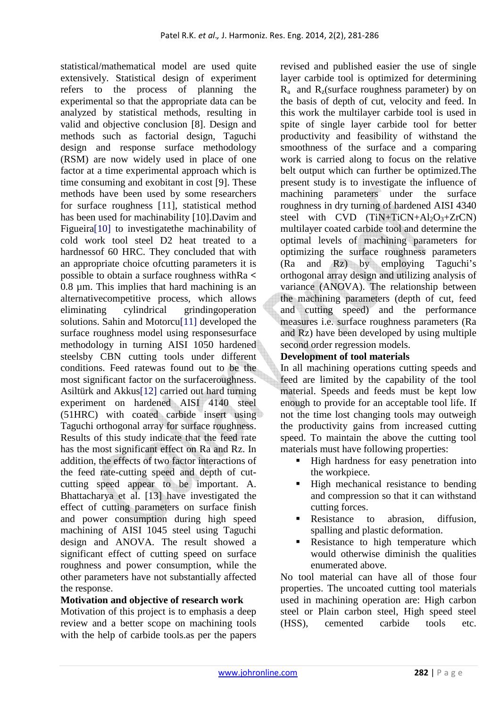statistical/mathematical model are used quite extensively. Statistical design of experiment refers to the process of planning the experimental so that the appropriate data can be analyzed by statistical methods, resulting in valid and objective conclusion [8]. Design and methods such as factorial design, Taguchi design and response surface methodology (RSM) are now widely used in place of one factor at a time experimental approach which is time consuming and exobitant in cost [9]. These methods have been used by some researchers for surface roughness [11], statistical method has been used for machinability [10].Davim and Figueira[10] to investigatethe machinability of cold work tool steel D2 heat treated to a hardnessof 60 HRC. They concluded that with an appropriate choice ofcutting parameters it is possible to obtain a surface roughness withRa **<**  $0.8 \mu$ m. This implies that hard machining is an alternativecompetitive process, which allows eliminating cylindrical grindingoperation solutions. Sahin and Motorcu<sup>[11]</sup> developed the surface roughness model using responsesurface methodology in turning AISI 1050 hardened steelsby CBN cutting tools under different conditions. Feed ratewas found out to be the most significant factor on the surfaceroughness. Asiltürk and Akkus[12] carried out hard turning experiment on hardened AISI 4140 steel (51HRC) with coated carbide insert using Taguchi orthogonal array for surface roughness. Results of this study indicate that the feed rate has the most significant effect on Ra and Rz. In addition, the effects of two factor interactions of the feed rate-cutting speed and depth of cutcutting speed appear to be important. A. Bhattacharya et al. [13] have investigated the effect of cutting parameters on surface finish and power consumption during high speed machining of AISI 1045 steel using Taguchi design and ANOVA. The result showed a significant effect of cutting speed on surface roughness and power consumption, while the other parameters have not substantially affected the response.

### **Motivation and objective of research work**

Motivation of this project is to emphasis a deep review and a better scope on machining tools with the help of carbide tools.as per the papers revised and published easier the use of single layer carbide tool is optimized for determining  $R_a$  and  $R_z$ (surface roughness parameter) by on the basis of depth of cut, velocity and feed. In this work the multilayer carbide tool is used in spite of single layer carbide tool for better productivity and feasibility of withstand the smoothness of the surface and a comparing work is carried along to focus on the relative belt output which can further be optimized.The present study is to investigate the influence of machining parameters under the surface roughness in dry turning of hardened AISI 4340 steel with  $CVD$   $(TiN+TiCN+Al_2O_3+ZrCN)$ multilayer coated carbide tool and determine the optimal levels of machining parameters for optimizing the surface roughness parameters (Ra and Rz) by employing Taguchi's orthogonal array design and utilizing analysis of variance (ANOVA). The relationship between the machining parameters (depth of cut, feed and cutting speed) and the performance measures i.e. surface roughness parameters (Ra and Rz) have been developed by using multiple second order regression models.

### **Development of tool materials**

In all machining operations cutting speeds and feed are limited by the capability of the tool material. Speeds and feeds must be kept low enough to provide for an acceptable tool life. If not the time lost changing tools may outweigh the productivity gains from increased cutting speed. To maintain the above the cutting tool materials must have following properties:

- High hardness for easy penetration into the workpiece.
- $\blacksquare$  High mechanical resistance to bending and compression so that it can withstand cutting forces.
- Resistance to abrasion, diffusion, spalling and plastic deformation.
- Resistance to high temperature which would otherwise diminish the qualities enumerated above.

No tool material can have all of those four properties. The uncoated cutting tool materials used in machining operation are: High carbon steel or Plain carbon steel, High speed steel (HSS), cemented carbide tools etc.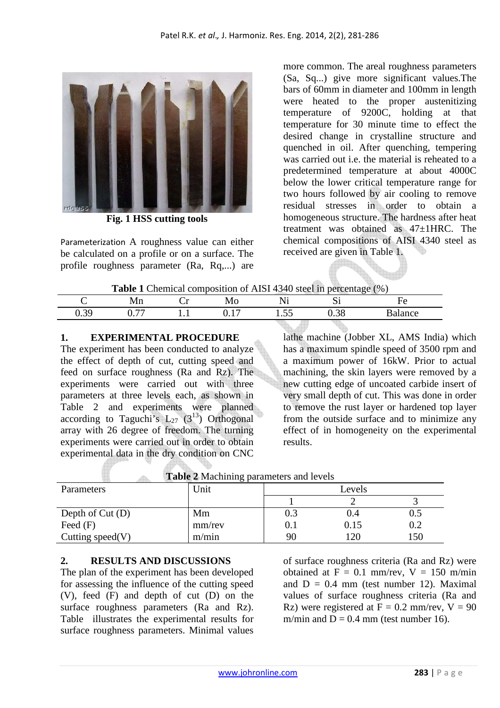

**Fig. 1 HSS cutting tools** 

Parameterization A roughness value can either be calculated on a profile or on a surface. The profile roughness parameter (Ra, Rq,...) are

more common. The areal roughness parameters (Sa, Sq...) give more significant values.The bars of 60mm in diameter and 100mm in length were heated to the proper austenitizing temperature of 9200C, holding at that temperature for 30 minute time to effect the desired change in crystalline structure and quenched in oil. After quenching, tempering was carried out i.e. the material is reheated to a predetermined temperature at about 4000C below the lower critical temperature range for two hours followed by air cooling to remove residual stresses in order to obtain a homogeneous structure. The hardness after heat treatment was obtained as 47±1HRC. The chemical compositions of AISI 4340 steel as received are given in Table 1.

**Table 1** Chemical composition of AISI 4340 steel in percentage (%)

|           | _________      | -----<br>-----  | ---------- | ---------                               |                  | $\sim$ |
|-----------|----------------|-----------------|------------|-----------------------------------------|------------------|--------|
|           |                | -<br>$\tilde{}$ | .          | . .<br>1NI.                             | $\sim$<br>IJΙ    |        |
| 2C<br>∪.∪ | $\overline{a}$ | .               | $\sim$     | $\overline{\phantom{0}}$<br>. .<br>1.JJ | $\Omega$<br>u.jo |        |
|           |                |                 |            |                                         |                  |        |

# **1. EXPERIMENTAL PROCEDURE**

The experiment has been conducted to analyze the effect of depth of cut, cutting speed and feed on surface roughness (Ra and Rz). The experiments were carried out with three parameters at three levels each, as shown in Table 2 and experiments were planned according to Taguchi's  $L_{27}$  (3<sup>13</sup>) Orthogonal array with 26 degree of freedom. The turning experiments were carried out in order to obtain experimental data in the dry condition on CNC

> F q.

lathe machine (Jobber XL, AMS India) which has a maximum spindle speed of 3500 rpm and a maximum power of 16kW. Prior to actual machining, the skin layers were removed by a new cutting edge of uncoated carbide insert of very small depth of cut. This was done in order to remove the rust layer or hardened top layer from the outside surface and to minimize any effect of in homogeneity on the experimental results.

| <b>Table 2</b> Machining parameters and levels |        |        |      |     |  |
|------------------------------------------------|--------|--------|------|-----|--|
| Parameters                                     | Unit   | Levels |      |     |  |
|                                                |        |        |      |     |  |
| Depth of $Cut(D)$                              | Mm     | 0.3    | 0.4  | 0.5 |  |
| Feed $(F)$                                     | mm/rev | 0.1    | 0.15 | 0.2 |  |
| Cutting speed $(V)$                            | m/min  | 90     | 120  | 150 |  |

| <b>Table 2</b> Machining parameters and levels |  |
|------------------------------------------------|--|
|                                                |  |

### **2. RESULTS AND DISCUSSIONS**

The plan of the experiment has been developed for assessing the influence of the cutting speed (V), feed (F) and depth of cut (D) on the surface roughness parameters (Ra and Rz). Table illustrates the experimental results for surface roughness parameters. Minimal values of surface roughness criteria (Ra and Rz) were obtained at  $F = 0.1$  mm/rev,  $V = 150$  m/min and  $D = 0.4$  mm (test number 12). Maximal values of surface roughness criteria (Ra and Rz) were registered at  $F = 0.2$  mm/rev,  $V = 90$ m/min and  $D = 0.4$  mm (test number 16).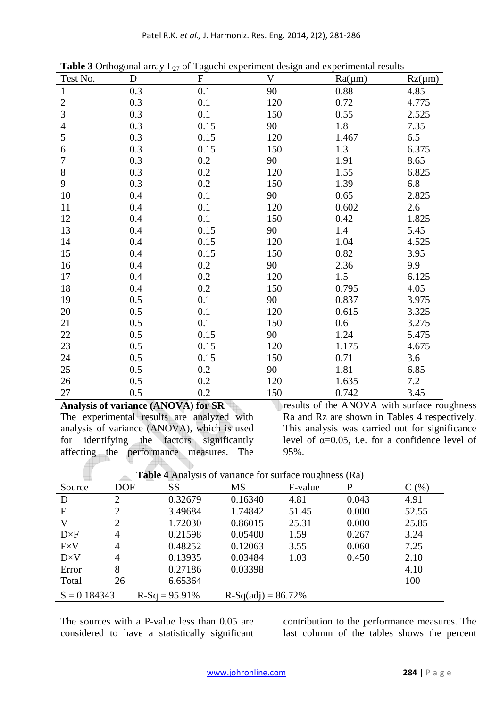| Test No.                 | $\mathbf D$ | ${\bf F}$ | $\mathbf V$ | $Ra(\mu m)$ | $Rz(\mu m)$ |
|--------------------------|-------------|-----------|-------------|-------------|-------------|
| $\mathbf{1}$             | 0.3         | 0.1       | 90          | 0.88        | 4.85        |
| $\mathfrak{2}$           | 0.3         | 0.1       | 120         | 0.72        | 4.775       |
| 3                        | 0.3         | 0.1       | 150         | 0.55        | 2.525       |
| $\overline{\mathcal{A}}$ | 0.3         | 0.15      | 90          | 1.8         | 7.35        |
| 5                        | 0.3         | 0.15      | 120         | 1.467       | 6.5         |
| 6                        | 0.3         | 0.15      | 150         | 1.3         | 6.375       |
| 7                        | 0.3         | 0.2       | 90          | 1.91        | 8.65        |
| 8                        | 0.3         | 0.2       | 120         | 1.55        | 6.825       |
| 9                        | 0.3         | 0.2       | 150         | 1.39        | 6.8         |
| 10                       | 0.4         | 0.1       | 90          | 0.65        | 2.825       |
| 11                       | 0.4         | 0.1       | 120         | 0.602       | 2.6         |
| 12                       | 0.4         | 0.1       | 150         | 0.42        | 1.825       |
| 13                       | 0.4         | 0.15      | 90          | 1.4         | 5.45        |
| 14                       | 0.4         | 0.15      | 120         | 1.04        | 4.525       |
| 15                       | 0.4         | 0.15      | 150         | 0.82        | 3.95        |
| 16                       | 0.4         | 0.2       | 90          | 2.36        | 9.9         |
| 17                       | 0.4         | 0.2       | 120         | 1.5         | 6.125       |
| 18                       | 0.4         | 0.2       | 150         | 0.795       | 4.05        |
| 19                       | 0.5         | 0.1       | 90          | 0.837       | 3.975       |
| 20                       | 0.5         | 0.1       | 120         | 0.615       | 3.325       |
| 21                       | 0.5         | 0.1       | 150         | 0.6         | 3.275       |
| 22                       | 0.5         | 0.15      | 90          | 1.24        | 5.475       |
| 23                       | 0.5         | 0.15      | 120         | 1.175       | 4.675       |
| 24                       | 0.5         | 0.15      | 150         | 0.71        | 3.6         |
| 25                       | 0.5         | 0.2       | 90          | 1.81        | 6.85        |
| 26                       | 0.5         | 0.2       | 120         | 1.635       | 7.2         |
| 27                       | 0.5         | 0.2       | 150         | 0.742       | 3.45        |

**Table 3** Orthogonal array  $\mathbf{L}_{27}$  of Taguchi experiment design and experimental results

**Analysis of variance (ANOVA) for SR**  The experimental results are analyzed with analysis of variance (ANOVA), which is used for identifying the factors significantly affecting the performance measures. The **PL** J,

results of the ANOVA with surface roughness Ra and Rz are shown in Tables 4 respectively. This analysis was carried out for significance level of  $\alpha$ =0.05, i.e. for a confidence level of 95%.

| <b>Table 4</b> Analysis of variance for surface foughtess (Na) |                |                 |                      |         |       |       |  |
|----------------------------------------------------------------|----------------|-----------------|----------------------|---------|-------|-------|--|
| Source                                                         | <b>DOF</b>     | SS              | <b>MS</b>            | F-value | P     | C(%)  |  |
| D                                                              | 2              | 0.32679         | 0.16340              | 4.81    | 0.043 | 4.91  |  |
| $\mathbf{F}$                                                   | 2              | 3.49684         | 1.74842              | 51.45   | 0.000 | 52.55 |  |
| V                                                              |                | 1.72030         | 0.86015              | 25.31   | 0.000 | 25.85 |  |
| $D\times F$                                                    | 4              | 0.21598         | 0.05400              | 1.59    | 0.267 | 3.24  |  |
| $F \times V$                                                   | $\overline{4}$ | 0.48252         | 0.12063              | 3.55    | 0.060 | 7.25  |  |
| $D \times V$                                                   | 4              | 0.13935         | 0.03484              | 1.03    | 0.450 | 2.10  |  |
| Error                                                          | 8              | 0.27186         | 0.03398              |         |       | 4.10  |  |
| Total                                                          | 26             | 6.65364         |                      |         |       | 100   |  |
| $S = 0.184343$                                                 |                | $R-Sq = 95.91%$ | $R-Sq(adi) = 86.72%$ |         |       |       |  |

|  |  | Table 4 Analysis of variance for surface roughness (Ra) |  |
|--|--|---------------------------------------------------------|--|
|  |  |                                                         |  |

The sources with a P-value less than 0.05 are considered to have a statistically significant contribution to the performance measures. The last column of the tables shows the percent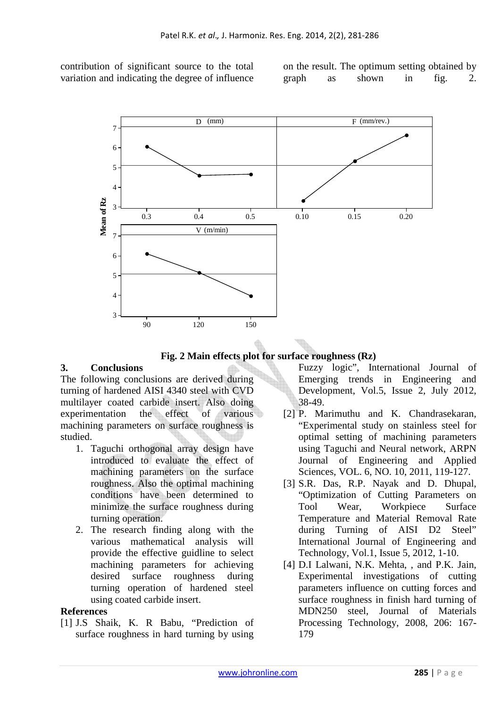contribution of significant source to the total variation and indicating the degree of influence on the result. The optimum setting obtained by graph as shown in fig. 2.





# **3. Conclusions**

The following conclusions are derived during turning of hardened AISI 4340 steel with CVD multilayer coated carbide insert. Also doing experimentation the effect of various machining parameters on surface roughness is studied.

- 1. Taguchi orthogonal array design have introduced to evaluate the effect of machining parameters on the surface roughness. Also the optimal machining conditions have been determined to minimize the surface roughness during turning operation.
- 2. The research finding along with the various mathematical analysis will provide the effective guidline to select machining parameters for achieving desired surface roughness during turning operation of hardened steel using coated carbide insert.

### **References**

[1] J.S Shaik, K. R Babu, "Prediction of surface roughness in hard turning by using Fuzzy logic", International Journal of Emerging trends in Engineering and Development, Vol.5, Issue 2, July 2012, 38-49.

- [2] P. Marimuthu and K. Chandrasekaran, "Experimental study on stainless steel for optimal setting of machining parameters using Taguchi and Neural network, ARPN Journal of Engineering and Applied Sciences, VOL. 6, NO. 10, 2011, 119-127.
- [3] S.R. Das, R.P. Nayak and D. Dhupal, "Optimization of Cutting Parameters on Tool Wear, Workpiece Surface Temperature and Material Removal Rate during Turning of AISI D2 Steel" International Journal of Engineering and Technology, Vol.1, Issue 5, 2012, 1-10.
- [4] D.I Lalwani, N.K. Mehta, , and P.K. Jain, Experimental investigations of cutting parameters influence on cutting forces and surface roughness in finish hard turning of MDN250 steel, Journal of Materials Processing Technology, 2008, 206: 167- 179